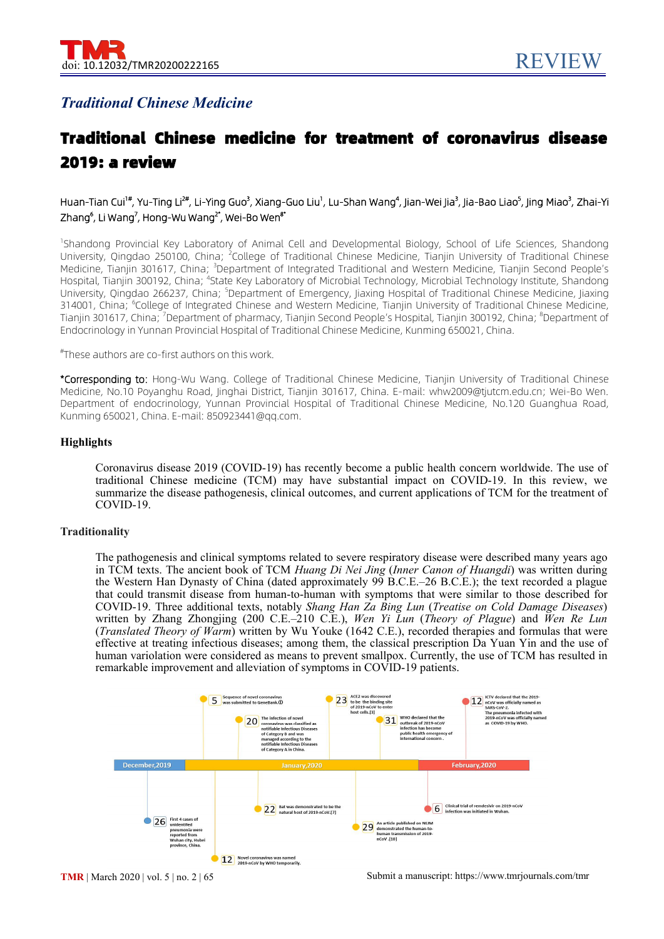# *Traditional Chinese Medicine*

# Traditional Chinese medicine for treatment of coronavirus disease 2019: a review

# Huan-Tian Cui<sup>1#</sup>, Yu-Ting Li<sup>2#</sup>, Li-Ying Guo<sup>3</sup>, Xiang-Guo Liu<sup>1</sup>, Lu-Shan Wang<sup>4</sup>, Jian-Wei Jia<sup>3</sup>, Jia-Bao Liao<sup>5</sup>, Jing Miao<sup>3</sup>, Zhai-Yi Zhang<sup>6</sup>, Li Wang<sup>7</sup>, Hong-Wu Wang<sup>2\*</sup>, Wei-Bo Wen<sup>8\*</sup>

<sup>1</sup>Shandong Provincial Key Laboratory of Animal Cell and Developmental Biology, School of Life Sciences, Shandong University, Qingdao 250100, China; <sup>2</sup>College of Traditional Chinese Medicine, Tianjin University of Traditional Chinese Medicine, Tianjin 301617, China; <sup>3</sup>Department of Integrated Traditional and Western Medicine, Tianjin Second People's Hospital, Tianjin 300192, China; <sup>4</sup>State Key Laboratory of Microbial Technology, Microbial Technology Institute, Shandong University, Qingdao 266237, China; <sup>5</sup>Department of Emergency, Jiaxing Hospital of Traditional Chinese Medicine, Jiaxing 314001, China; <sup>6</sup>College of Integrated Chinese and Western Medicine, Tianjin University of Traditional Chinese Medicine, Tianjin 301617, China; <sup>7</sup>Department of pharmacy, Tianjin Second People's Hospital, Tianjin 300192, China; <sup>8</sup>Department of Endocrinology in Yunnan Provincial Hospital of Traditional Chinese Medicine, Kunming 650021, China.

#These authors are co-first authors on this work.

\*Corresponding to: Hong-Wu Wang. College of Traditional Chinese Medicine, Tianjin University of Traditional Chinese Medicine, No.10 Poyanghu Road, Jinghai District, Tianjin 301617, China. E-mail: [whw2009@tjutcm.edu.cn](mailto:whw2009@tjutcm.edu.cn); Wei-Bo Wen. Department of endocrinology, Yunnan Provincial Hospital of Traditional Chinese Medicine, No.120 Guanghua Road, Kunming 650021, China. E-mail: 850923441@qq.com.

#### **Highlights**

Coronavirus disease 2019 (COVID-19) has recently become a public health concern worldwide. The use of traditional Chinese medicine (TCM) may have substantial impact on COVID-19. In this review, we summarize the disease pathogenesis, clinical outcomes, and current applications of TCM for the treatment of COVID-19.

#### **Traditionality**

The pathogenesis and clinical symptoms related to severe respiratory disease were described many years ago in TCM texts. The ancient book of TCM *Huang Di Nei Jing* (*Inner Canon of Huangdi*) was written during the Western Han Dynasty of China (dated approximately 99 B.C.E.–26 B.C.E.); the text recorded a plague that could transmit disease from human-to-human with symptoms that were similar to those described for COVID-19. Three additional texts, notably *Shang Han Za Bing Lun* (*Treatise on Cold Damage Diseases*) written by Zhang Zhongjing (200 C.E.–210 C.E.), *Wen Yi Lun* (*Theory of Plague*) and *Wen Re Lun* (*Translated Theory of Warm*) written by Wu Youke (1642 C.E.), recorded therapies and formulas that were effective at treating infectious diseases; among them, the classical prescription Da Yuan Yin and the use of human variolation were considered as means to prevent smallpox. Currently, the use of TCM has resulted in remarkable improvement and alleviation of symptoms in COVID-19 patients.

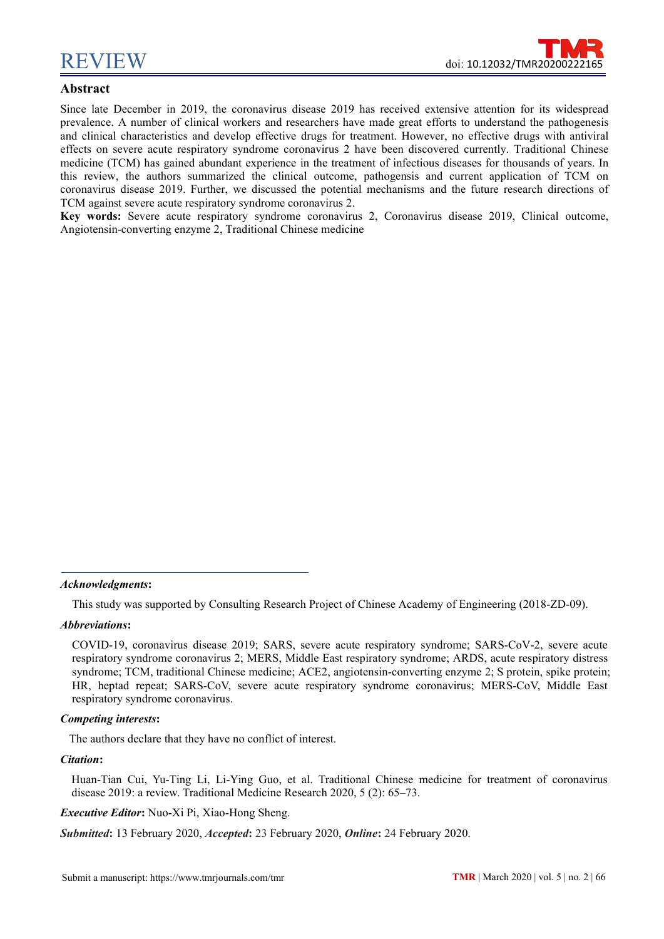

# **Abstract**

Since late December in 2019, the coronavirus disease 2019 has received extensive attention for its widespread prevalence. A number of clinical workers and researchers have made great efforts to understand the pathogenesis and clinical characteristics and develop effective drugs for treatment. However, no effective drugs with antiviral effects on severe acute respiratory syndrome coronavirus 2 have been discovered currently. Traditional Chinese medicine (TCM) has gained abundant experience in the treatment of infectious diseases for thousands of years. In this review, the authors summarized the clinical outcome, pathogensis and current application of TCM on coronavirus disease 2019. Further, we discussed the potential mechanisms and the future research directions of TCM against severe acute respiratory syndrome coronavirus 2.

**Key words:** Severe acute respiratory syndrome coronavirus 2, Coronavirus disease 2019, Clinical outcome, Angiotensin-converting enzyme 2, Traditional Chinese medicine

*Acknowledgments***:**

This study was supported by Consulting Research Project of Chinese Academy of Engineering (2018-ZD-09).

#### *Abbreviations***:**

#### *Competing interests***:**

The authors declare that they have no conflict of interest.

#### *Citation***:**

Huan-Tian Cui, Yu-Ting Li, Li-Ying Guo, et al. Traditional Chinese medicine for treatment of coronavirus disease 2019: a review. Traditional Medicine Research 2020, 5 (2): 65–73.

*Executive Editor***:** Nuo-Xi Pi, Xiao-Hong Sheng.

*Submitted***:** 13 February 2020, *Accepted***:** 23 February 2020, *Online***:** 24 February 2020.

COVID-19, coronavirus disease 2019; SARS, severe acute respiratory syndrome; SARS-CoV-2, severe acute respiratory syndrome coronavirus 2; MERS, Middle East respiratory syndrome; ARDS, acute respiratory distress syndrome; TCM, traditional Chinese medicine; ACE2, angiotensin-converting enzyme 2; S protein, spike protein; HR, heptad repeat; SARS-CoV, severe acute respiratory syndrome coronavirus; MERS-CoV, Middle East respiratory syndrome coronavirus.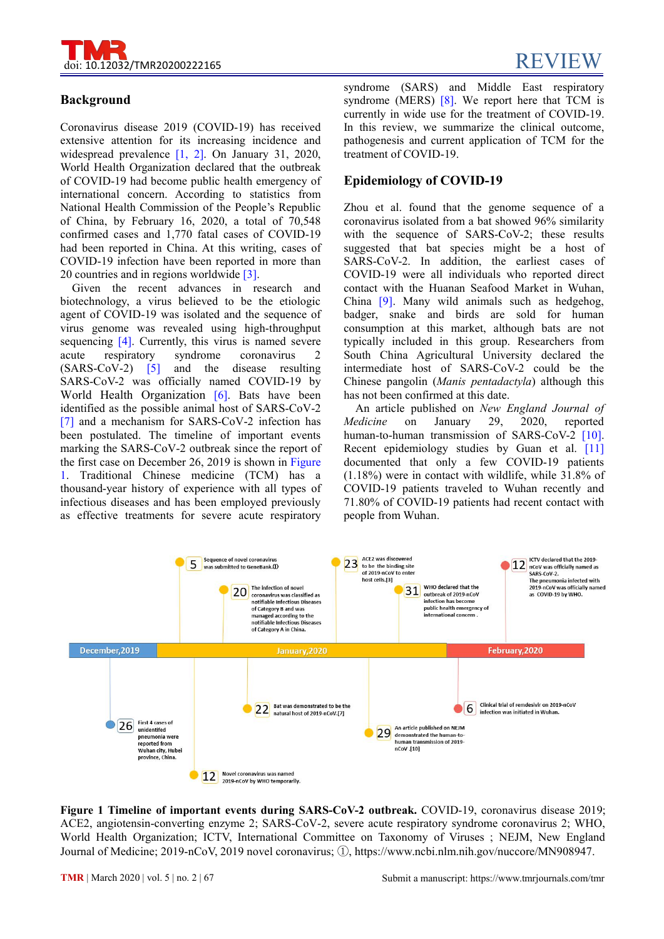

# **Background**

Coronavirus disease 2019 (COVID-19) has received extensive attention for its increasing incidence and widespread prevalence [1, 2]. On January 31, 2020, World Health Organization declared that the outbreak of COVID-19 had become [public](javascript:;) [health](javascript:;) [emergency](javascript:;) [of](javascript:;) [international](javascript:;) [concern.](javascript:;) According to statistics from National Health Commission of the People's Republic of China, by February 16, 2020, a total of 70,548 confirmed cases and 1,770 fatal cases of COVID-19 had been reported in China. At this writing, cases of COVID-19 infection have been reported in more than 20 countries and in regions worldwide [3].

Given the recent advances in research and biotechnology, a virus believed to be the etiologic agent of COVID-19 was isolated and the sequence of virus genome was revealed using high-throughput sequencing [4]. Currently, this virus is named severe (SARS-CoV-2) [5] and the disease resulting SARS-CoV-2 was officially named COVID-19 by World Health Organization [6]. Bats have been identified as the possible animal host of SARS-CoV-2 [7] and a mechanism for SARS-CoV-2 infection has Medicine on been postulated. The timeline of important events marking the SARS-CoV-2 outbreak since the report of the first case on December 26, 2019 is shown in Figure 1. Traditional Chinese medicine (TCM) has a thousand-year history of experience with all types of infectious diseases and has been employed previously as effective treatments for severe acute respiratory

syndrome (SARS) and Middle East respiratory syndrome (MERS) [8]. We report here that TCM is currently in wide use for the treatment of COVID-19. In this review, we summarize the clinical outcome, pathogenesis and current application of TCM for the treatment of COVID-19.

# **Epidemiology of COVID-19**

acute respiratory syndrome coronavirus 2 South China Agricultural University declared the Zhou et al. found that the genome sequence of a coronavirus isolated from a bat showed 96% similarity with the sequence of SARS-CoV-2; these results suggested that bat species might be a host of SARS-CoV-2. In addition, the earliest cases of COVID-19 were all individuals who reported direct contact with the Huanan Seafood Market in Wuhan, China [9]. Many wild animals such as hedgehog, badger, snake and birds are sold for human consumption at this market, although bats are not typically included in this group. Researchers from intermediate host of SARS-CoV-2 could be the Chinese pangolin (*Manis pentadactyla*) although this has not been confirmed at this date.

> An article published on *New England Journal of Medicine* on January 29, 2020, reported human-to-human transmission of SARS-CoV-2 [10]. Recent epidemiology studies by Guan et al. [11] documented that only a few COVID-19 patients (1.18%) were in contact with wildlife, while 31.8% of COVID-19 patients traveled to Wuhan recently and 71.80% of COVID-19 patients had recent contact with people from Wuhan.



**Figure 1 Timeline of important events during SARS-CoV-2 outbreak.** COVID-19, coronavirus disease 2019; ACE2, angiotensin-converting enzyme 2; SARS-CoV-2, severe acute respiratory syndrome coronavirus 2; WHO, World Health Organization; ICTV, International Committee on Taxonomy of Viruses ; NEJM, New England Journal of Medicine; 2019-nCoV, 2019 novel coronavirus; ①, https://www.ncbi.nlm.nih.gov/nuccore/MN908947.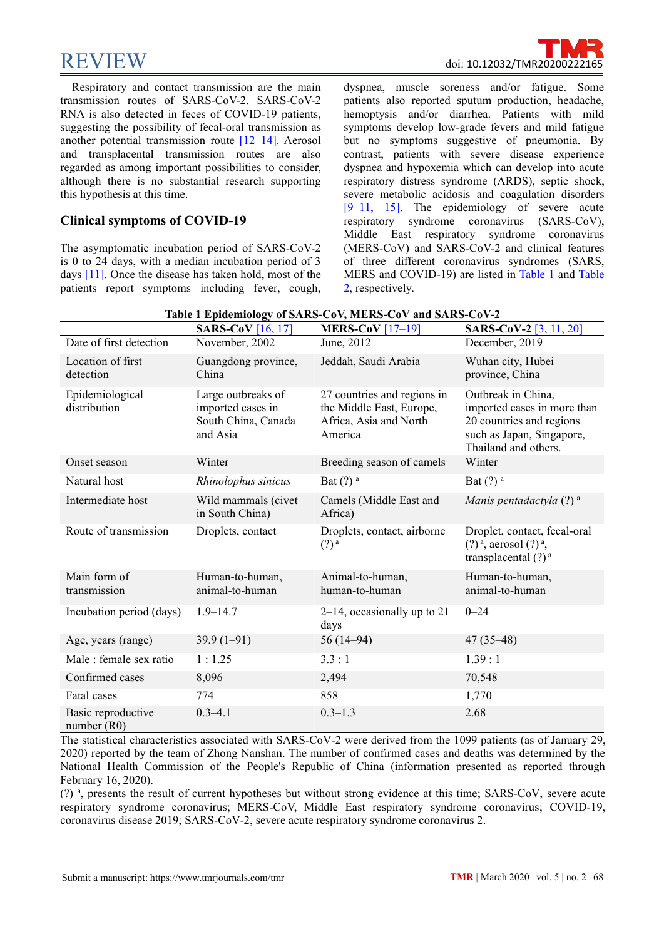$\rm{REVIEW}$ 

[Respiratory](javascript:;) and contact transmission are the main transmission routes of SARS-CoV-2. SARS-CoV-2 RNA is also detected in feces of COVID-19 patients, suggesting the possibility of fecal-oral transmission as another potential transmission route [12–14]. Aerosol and transplacental transmission routes are also regarded as among important possibilities to consider, although there is no substantial research supporting this hypothesis at this time.

# **Clinical symptoms of COVID-19**

The asymptomatic incubation period of SARS-CoV-2 is 0 to 24 days, with a median incubation period of 3 days [11]. Once the disease has taken hold, most of the patients report symptoms including fever, cough,

dyspnea, muscle soreness and/or fatigue. Some patients also reported sputum production, headache, hemoptysis and/or diarrhea. Patients with mild symptoms develop low-grade fevers and mild fatigue but no symptoms suggestive of pneumonia. By contrast, patients with severe disease experience dyspnea and hypoxemia which can develop into acute respiratory distress syndrome (ARDS), septic shock, severe metabolic acidosis and coagulation disorders [9–11, 15]. The epidemiology of severe acute respiratory syndrome coronavirus (SARS-CoV), Middle East respiratory syndrome coronavirus (MERS-CoV) and SARS-CoV-2 and clinical features of three different coronavirus syndromes (SARS, MERS and COVID-19) are listed in Table 1 and Table 2, respectively.

|                                     | <b>SARS-CoV</b> [16, 17]                                                   | MERS-CoV $[17-19]$                                                                           | <b>SARS-CoV-2</b> [3, 11, 20]                                                                                                      |
|-------------------------------------|----------------------------------------------------------------------------|----------------------------------------------------------------------------------------------|------------------------------------------------------------------------------------------------------------------------------------|
| Date of first detection             | November, 2002                                                             | June, 2012                                                                                   | December, 2019                                                                                                                     |
| Location of first<br>detection      | Guangdong province,<br>China                                               | Jeddah, Saudi Arabia                                                                         | Wuhan city, Hubei<br>province, China                                                                                               |
| Epidemiological<br>distribution     | Large outbreaks of<br>imported cases in<br>South China, Canada<br>and Asia | 27 countries and regions in<br>the Middle East, Europe,<br>Africa, Asia and North<br>America | Outbreak in China,<br>imported cases in more than<br>20 countries and regions<br>such as Japan, Singapore,<br>Thailand and others. |
| Onset season                        | Winter                                                                     | Breeding season of camels                                                                    | Winter                                                                                                                             |
| Natural host                        | Rhinolophus sinicus                                                        | Bat $(?)^a$                                                                                  | Bat $(?)^a$                                                                                                                        |
| Intermediate host                   | Wild mammals (civet<br>in South China)                                     | Camels (Middle East and<br>Africa)                                                           | Manis pentadactyla $(?)$ <sup>a</sup>                                                                                              |
| Route of transmission               | Droplets, contact                                                          | Droplets, contact, airborne<br>$(?)^{\mathfrak{a}}$                                          | Droplet, contact, fecal-oral<br>$(?)^a$ , aerosol $(?)^a$ ,<br>transplacental $(?)^a$                                              |
| Main form of<br>transmission        | Human-to-human,<br>animal-to-human                                         | Animal-to-human,<br>human-to-human                                                           | Human-to-human,<br>animal-to-human                                                                                                 |
| Incubation period (days)            | $1.9 - 14.7$                                                               | $2-14$ , occasionally up to 21<br>days                                                       | $0 - 24$                                                                                                                           |
| Age, years (range)                  | $39.9(1-91)$                                                               | $56(14-94)$                                                                                  | $47(35-48)$                                                                                                                        |
| Male : female sex ratio             | 1:1.25                                                                     | 3.3:1                                                                                        | 1.39:1                                                                                                                             |
| Confirmed cases                     | 8,096                                                                      | 2,494                                                                                        | 70,548                                                                                                                             |
| Fatal cases                         | 774                                                                        | 858                                                                                          | 1,770                                                                                                                              |
| Basic reproductive<br>number $(R0)$ | $0.3 - 4.1$                                                                | $0.3 - 1.3$                                                                                  | 2.68                                                                                                                               |

**Table 1 Epidemiology of SARS-CoV, MERS-CoV and SARS-CoV-2**

The statistical characteristics associated with SARS-CoV-2 were derived from the 1099 patients (as of January 29, 2020) reported by the team of Zhong Nanshan. The number of confirmed cases and deaths was determined by the National Health Commission of the People's Republic of China (information presented as reported through February 16, 2020).

(?) a , presents the result of current hypotheses but without strong evidence at this time; SARS-CoV, severe acute respiratory syndrome coronavirus; MERS-CoV, Middle East respiratory syndrome coronavirus; COVID-19, coronavirus disease 2019; SARS-CoV-2, severe acute respiratory syndrome coronavirus 2.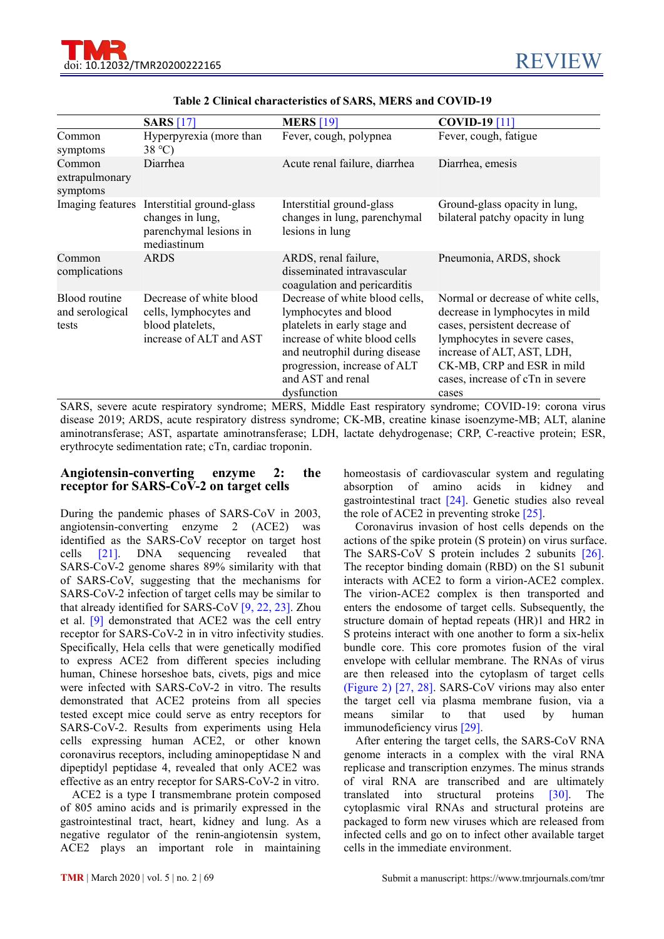|                                           | <b>SARS</b> [17]                                                                                 | <b>MERS</b> [19]                                                                                                                                                                                                              | <b>COVID-19</b> [11]                                                                                                                                                                                                                            |
|-------------------------------------------|--------------------------------------------------------------------------------------------------|-------------------------------------------------------------------------------------------------------------------------------------------------------------------------------------------------------------------------------|-------------------------------------------------------------------------------------------------------------------------------------------------------------------------------------------------------------------------------------------------|
| Common<br>symptoms                        | Hyperpyrexia (more than<br>$38^{\circ}$ C)                                                       | Fever, cough, polypnea                                                                                                                                                                                                        | Fever, cough, fatigue                                                                                                                                                                                                                           |
| Common<br>extrapulmonary<br>symptoms      | Diarrhea                                                                                         | Acute renal failure, diarrhea                                                                                                                                                                                                 | Diarrhea, emesis                                                                                                                                                                                                                                |
| Imaging features                          | Interstitial ground-glass<br>changes in lung,<br>parenchymal lesions in<br>mediastinum           | Interstitial ground-glass<br>changes in lung, parenchymal<br>lesions in lung                                                                                                                                                  | Ground-glass opacity in lung,<br>bilateral patchy opacity in lung                                                                                                                                                                               |
| Common<br>complications                   | <b>ARDS</b>                                                                                      | ARDS, renal failure,<br>disseminated intravascular<br>coagulation and pericarditis                                                                                                                                            | Pneumonia, ARDS, shock                                                                                                                                                                                                                          |
| Blood routine<br>and serological<br>tests | Decrease of white blood<br>cells, lymphocytes and<br>blood platelets,<br>increase of ALT and AST | Decrease of white blood cells,<br>lymphocytes and blood<br>platelets in early stage and<br>increase of white blood cells<br>and neutrophil during disease<br>progression, increase of ALT<br>and AST and renal<br>dysfunction | Normal or decrease of white cells,<br>decrease in lymphocytes in mild<br>cases, persistent decrease of<br>lymphocytes in severe cases,<br>increase of ALT, AST, LDH,<br>CK-MB, CRP and ESR in mild<br>cases, increase of cTn in severe<br>cases |

#### **Table 2 Clinical characteristics ofSARS, MERS and COVID-19**

SARS, severe acute respiratory syndrome; MERS, Middle East respiratory syndrome; COVID-19: corona virus disease 2019; ARDS, acute respiratory distress syndrome; CK-MB, creatine kinase isoenzyme-MB; ALT, alanine aminotransferase; AST, aspartate aminotransferase; LDH, lactate dehydrogenase; CRP, C-reactive protein; ESR, erythrocyte sedimentation rate; cTn, cardiac troponin.

#### **Angiotensin-converting enzyme 2: the receptor for SARS-CoV-2 on target cells**

During the pandemic phases of SARS-CoV in 2003, angiotensin-converting enzyme 2 (ACE2) was identified as the SARS-CoV receptor on target host cells [21]. DNA sequencing revealed that SARS-CoV-2 genome shares 89% similarity with that of SARS-CoV, suggesting that the mechanisms for SARS-CoV-2 infection of target cells may be similar to that already identified for SARS-CoV [9, 22, 23]. Zhou et al. [9] demonstrated that ACE2 was the cell entry receptor for SARS-CoV-2 in in vitro infectivity studies. Specifically, Hela cells that were genetically modified to express ACE2 from different species including human, Chinese horseshoe bats, civets, pigs and mice were infected with SARS-CoV-2 in vitro. The results demonstrated that ACE2 proteins from all species tested except mice could serve as entry receptors for means similar SARS-CoV-2. Results from experiments using Hela cells expressing human ACE2, or other known coronavirus receptors, including aminopeptidase N and dipeptidyl peptidase 4, revealed that only ACE2 was effective as an entry receptor for SARS-CoV-2 in vitro.

ACE2 is a type I transmembrane protein composed of 805 amino acids and is primarily expressed in the gastrointestinal tract, heart, kidney and lung. As a negative regulator of the renin-angiotensin system, ACE2 plays an important role in maintaining homeostasis of cardiovascular system and regulating absorption of amino acids in kidney and gastrointestinal tract [24]. Genetic studies also reveal the role of ACE2 in preventing stroke  $[25]$ .

Coronavirus invasion of host cells depends on the actions of the spike protein (S protein) on virus surface. The SARS-CoV S protein includes 2 subunits [26]. The receptor binding domain (RBD) on the S1 subunit interacts with ACE2 to form a virion-ACE2 complex. The virion-ACE2 complex is then transported and enters the endosome of target cells. Subsequently, the structure domain of heptad repeats (HR)1 and HR2 in S proteins interact with one another to form a six-helix bundle core. This core promotes fusion of the viral envelope with cellular membrane. The RNAs of virus are then released into the cytoplasm of target cells (Figure 2) [27, 28]. SARS-CoV virions may also enter the target cell via plasma membrane fusion, via a means similar to that used by human immunodeficiency virus [29].

After entering the target cells, the SARS-CoV RNA genome interacts in a complex with the viral RNA replicase and transcription enzymes. The minus strands of viral RNA are transcribed and are ultimately translated into structural proteins [30]. The cytoplasmic viral RNAs and structural proteins are packaged to form new viruses which are released from infected cells and go on to infect other available target cells in the immediate environment.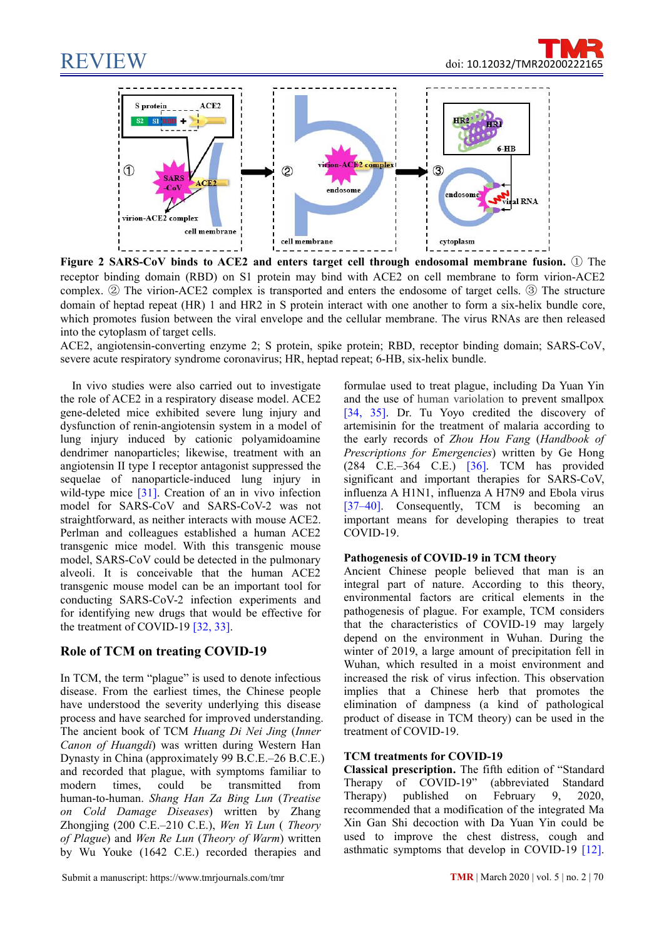



**Figure 2 SARS-CoV binds to ACE2 and enters target cell through endosomal membrane fusion.** ① The receptor binding domain (RBD) on S1 protein may bind with ACE2 on cell membrane to form virion-ACE2 complex. ② The virion-ACE2 complex is transported and enters the endosome of target cells. ③ The structure domain of heptad repeat (HR) 1 and HR2 in S protein interact with one another to form a six-helix bundle core, which promotes fusion between the viral envelope and the cellular membrane. The virus RNAs are then released into the cytoplasm of target cells.

ACE2, angiotensin-converting enzyme 2; S protein, spike protein; RBD, receptor binding domain; SARS-CoV, severe acute respiratory syndrome coronavirus; HR, heptad repeat; 6-HB, six-helix bundle.

In vivo studies were also carried out to investigate the role of ACE2 in a respiratory disease model. ACE2 gene-deleted mice exhibited severe lung injury and dysfunction of renin-angiotensin system in a model of lung injury induced by cationic polyamidoamine dendrimer nanoparticles; likewise, treatment with an angiotensin II type I receptor antagonist suppressed the sequelae of nanoparticle-induced lung injury in wild-type mice [31]. Creation of an in vivo infection model for SARS-CoV and SARS-CoV-2 was not straightforward, as neither interacts with mouse ACE2. Perlman and colleagues established a human ACE2 transgenic mice model. With this transgenic mouse model, SARS-CoV could be detected in the pulmonary alveoli. It is conceivable that the human ACE2 transgenic mouse model can be an important tool for conducting SARS-CoV-2 infection experiments and for identifying new drugs that would be effective for the treatment of COVID-19 [32, 33].

# **Role of TCM on treating COVID-19**

In TCM, the term "plague" is used to denote infectious disease. From the earliest times, the Chinese people have understood the severity underlying this disease process and have searched for improved understanding. The ancient book of TCM *Huang Di Nei Jing* (*Inner Canon of Huangdi*) was written during Western Han Dynasty in China (approximately 99 B.C.E.–26 B.C.E.) and recorded that plague, with symptoms familiar to **Classical**<br>modern times could be transmitted from Therapy modern times, could be transmitted from Therapy of COVID-19" (abbreviat human-to-human. Shang Han Za Bing Lun (Treatise Therapy) published on February human-to-human. *Shang Han Za Bing Lun* (*Treatise on Cold Damage Diseases*) written by Zhang Zhongjing (200 C.E.–210 C.E.), *Wen Yi Lun* ( *Theory of Plague*) and *Wen Re Lun* (*Theory of Warm*) written by Wu Youke (1642 C.E.) recorded therapies and

formulae used to treat plague, including Da Yuan Yin and the use of human variolation to prevent smallpox [34, 35]. Dr. Tu Yoyo credited the discovery of artemisinin for the treatment of malaria according to the early records of *Zhou Hou Fang* (*Handbook of Prescriptions for Emergencies*) written by Ge Hong (284 C.E.–364 C.E.) [36]. TCM has provided significant and important therapies for SARS-CoV, influenza A H1N1, influenza A H7N9 and Ebola virus [37–40]. Consequently, TCM is becoming an important means for developing therapies to treat COVID-19.

#### **Pathogenesis of COVID-19 in TCM theory**

Ancient Chinese people believed that [man](javascript:;) [is](javascript:;) [an](javascript:;) [integral](javascript:;) [part](javascript:;) [of](javascript:;) [nature.](javascript:;) According to this theory, environmental factors are critical elements in the pathogenesis of plague. For example, TCM considers that the characteristics of COVID-19 may largely depend on the environment in Wuhan. During the winter of 2019, a large amount of precipitation fell in Wuhan, which resulted in a moist environment and increased the risk of virus infection. This observation implies that a Chinese herb that promotes the elimination of dampness (a kind of pathological product of disease in TCM theory) can be used in the treatment of COVID-19.

#### **TCM treatments for COVID-19**

**Classical prescription.** The fifth edition of "Standard (abbreviated Standard published on February 9, 2020, recommended that a modification of the integrated Ma Xin Gan Shi decoction with Da Yuan Yin could be used to improve the chest distress, cough and asthmatic symptoms that develop in COVID-19 [12].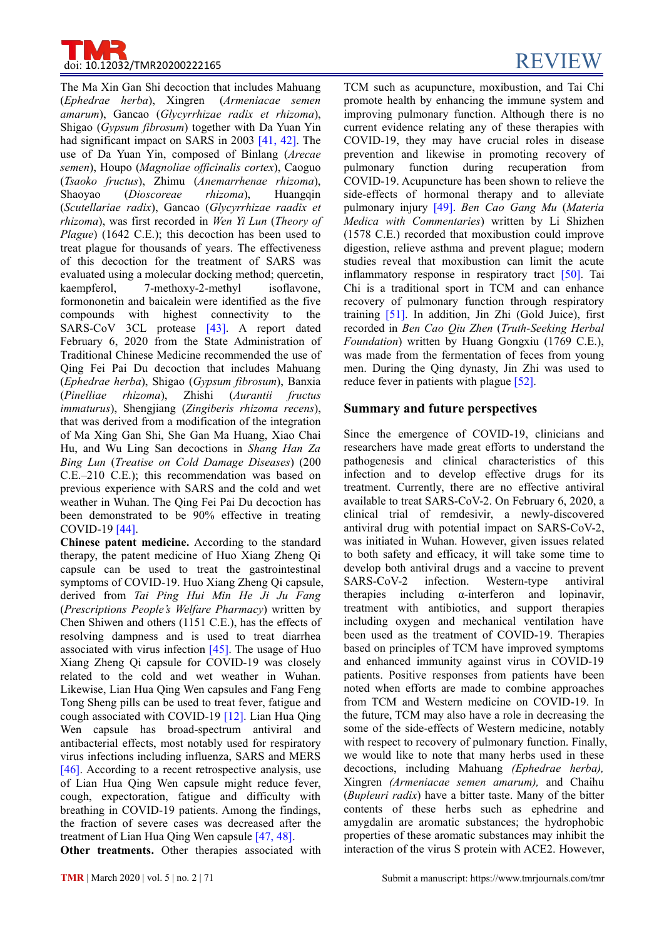

The Ma Xin Gan Shi decoction that includes Mahuang (*Ephedrae herba*), Xingren (*Armeniacae semen amarum*), Gancao (*Glycyrrhizae radix et rhizoma*), Shigao (*Gypsum fibrosum*) together with Da Yuan Yin had significant impact on SARS in 2003 [41, 42]. The use of Da Yuan Yin, composed of Binlang (*Arecae semen*), Houpo (*Magnoliae of icinalis cortex*), Caoguo (*Tsaoko fructus*), Zhimu (*Anemarrhenae rhizoma*), (*Scutellariae radix*), Gancao (*Glycyrrhizae raadix et rhizoma*), was first recorded in *Wen Yi Lun* (*Theory of Plague*) (1642 C.E.); this decoction has been used to treat plague for thousands of years. The effectiveness of this decoction for the treatment of SARS was evaluated using a molecular docking method; quercetin, kaempferol, 7-methoxy-2-methyl isoflavone, formononetin and baicalein were identified as the five compounds with highest connectivity to the SARS-CoV 3CL protease [43]. A report dated February 6, 2020 from the State [Administration](javascript:;) of Traditional Chinese Medicine recommended the use of Qing Fei Pai Du decoction that includes Mahuang (*Ephedrae herba*), Shigao (*Gypsum fibrosum*), Banxia (*Pinelliae rhizoma*), Zhishi (*Aurantii fructus immaturus*), Shengjiang (*Zingiberis rhizoma recens*), that was derived from a modification of the integration of Ma Xing Gan Shi, She Gan Ma Huang, Xiao Chai Hu, and Wu Ling San decoctions in *Shang Han Za Bing Lun* (*Treatise on Cold Damage Diseases*) (200 C.E.–210 C.E.); this recommendation was based on previous experience with SARS and the cold and wet weather in Wuhan. The Qing Fei Pai Du decoction has been demonstrated to be 90% effective in treating COVID-19 [44].

**Chinese patent medicine.** According to the standard therapy, the patent medicine of Huo Xiang Zheng Qi capsule can be used to treat the gastrointestinal symptoms of COVID-19. Huo Xiang Zheng Qi capsule, SARS-CoV-2 derived from *Tai Ping Hui Min He Ji Ju Fang* (*Prescriptions People's Welfare Pharmacy*) written by Chen Shiwen and others (1151 C.E.), has the effects of resolving dampness and is used to treat diarrhea associated with virus infection [45]. The usage of Huo Xiang Zheng Qi capsule for COVID-19 was closely related to the cold and wet weather in Wuhan. Likewise, Lian Hua Qing Wen capsules and Fang Feng Tong Sheng pills can be used to treat fever, fatigue and cough associated with COVID-19 [12]. Lian Hua Qing Wen capsule has broad-spectrum antiviral and antibacterial effects, most notably used for respiratory virus infections including influenza, SARS and MERS [46]. According to a recent retrospective analysis, use of Lian Hua Qing Wen capsule might reduce fever, cough, [expectoration](javascript:;), fatigue and difficulty with breathing in COVID-19 patients. Among the findings, the fraction of severe cases was decreased after the treatment of Lian Hua Qing Wen capsule [47, 48].

**Other treatments.** Other therapies associated with

Shaoyao (*Dioscoreae rhizoma*), Huangqin side-effects of hormonal therapy and to alleviate TCM such as acupuncture, moxibustion, and Tai Chi promote health by enhancing the immune system and improving pulmonary function. Although there is no current evidence relating any of these therapies with COVID-19, they may have crucial roles in disease prevention and likewise in promoting recovery of pulmonary function during recuperation from COVID-19. Acupuncture has been shown to relieve the pulmonary injury [49]. *Ben Cao Gang Mu* (*Materia Medica with Commentaries*) written by Li Shizhen (1578 C.E.) recorded that moxibustion could improve digestion, relieve asthma and prevent plague; modern studies reveal that moxibustion can limit the acute inflammatory response in respiratory tract [50]. Tai Chi is a traditional sport in TCM and can enhance recovery of pulmonary function through respiratory training [51]. In addition, Jin Zhi (Gold Juice), first recorded in *Ben Cao Qiu Zhen* (*Truth-Seeking Herbal Foundation*) written by Huang Gongxiu (1769 C.E.), was made from the fermentation of feces from young men. During the Qing dynasty, Jin Zhi was used to reduce fever in patients with plague [52].

# **Summary and future perspectives**

Since the emergence of COVID-19, clinicians and researchers have made great efforts to understand the pathogenesis and clinical characteristics of this infection and to develop effective drugs for its treatment. Currently, there are no effective antiviral available to treat SARS-CoV-2. On February 6, 2020, a clinical trial of remdesivir, a newly-discovered antiviral drug with potential impact on SARS-CoV-2, was initiated in Wuhan. However, given issues related to both safety and efficacy, it will take some time to develop both antiviral drugs and a vaccine to prevent infection. Western-type antiviral α-interferon and lopinavir, treatment with antibiotics, and support therapies including oxygen and mechanical ventilation have been used as the treatment of COVID-19. Therapies based on principles of TCM have improved symptoms and enhanced immunity against virus in COVID-19 patients. Positive responses from patients have been noted when efforts are made to combine approaches from TCM and Western medicine on COVID-19. In the future, TCM may also have a role in decreasing the some of the side-effects of Western medicine, notably with respect to recovery of pulmonary function. Finally, we would like to note that many herbs used in these decoctions, including Mahuang *(Ephedrae herba),*Xingren *(Armeniacae semen amarum),* and Chaihu (*Bupleuri radix*) have a bitter taste. Many of the bitter contents of these herbs such as ephedrine and amygdalin are aromatic substances; the hydrophobic properties of these aromatic substances may inhibit the interaction of the virus S protein with ACE2. However,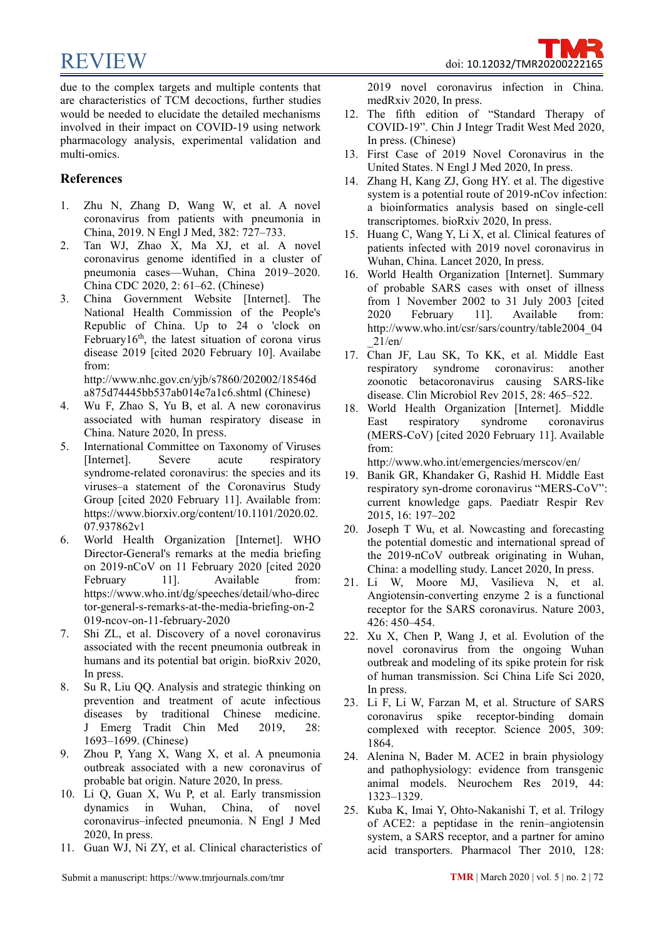due to the complex targets and multiple contents that are characteristics of TCM decoctions, further studies would be needed to elucidate the detailed mechanisms involved in their impact on COVID-19 using network

# **References**

multi-omics.

1. Zhu N, Zhang D, Wang W, et al. A novel coronavirus from patients with pneumonia in China, 2019. N Engl J Med, 382: 727–733.

pharmacology analysis, experimental validation and

- 2. Tan WJ, Zhao X, Ma XJ, et al. A novel coronavirus genome identified in acluster of pneumonia cases—Wuhan, China 2019–2020. China CDC 2020, 2: 61–62. (Chinese)
- 3. China Government Website [Internet]. The National Health Commission of the People's 2020 Republic of China. Up to 24 o 'clock on February16<sup>th</sup>, the latest situation of corona virus  $21/en/$ disease 2019 [cited 2020 February 10]. Availabe from:

http://www.nhc.gov.cn/yjb/s7860/202002/18546d a875d74445bb537ab014e7a1c6.shtml (Chinese)

- 4. Wu F, Zhao S, Yu B, et al. A new coronavirus associated with human respiratory disease in East respiratory China. Nature 2020, In press.
- 5. International Committee on Taxonomy of Viruses [Internet]. Severe acute respiratory http://www.who.int/emergencies/merscov/en/ syndrome-related coronavirus: the species and its viruses–a statement of the Coronavirus Study Group [cited 2020 February 11]. Available from: https://www.biorxiv.org/content/10.1101/2020.02. 07.937862v1
- 6. World Health Organization [Internet]. WHO Director-General's remarks at the media briefing on 2019-nCoV on 11 February 2020 [cited 2020 February 11]. Available from: [https://www.who.int/dg/speeches/detail/w](https://www.who.int/dg/speeches/detail/)ho-direc tor-general-s-remarks-at-the-media-briefing-on-2 019-ncov-on-11-february-2020
- 7. Shi ZL, et al. Discovery of a novel coronavirus associated with the recent pneumonia outbreak in humans and its potential bat origin. bioRxiv 2020, In press.
- 8. Su R, Liu QQ. Analysis and strategic thinking on prevention and treatment of acute infectious diseases by traditional Chinese medicine. J Emerg Tradit Chin Med 2019, 28: 1693–1699. (Chinese)
- 9. Zhou P, Yang X, Wang X, et al. A pneumonia outbreak associated with a new coronavirus of probable bat origin. Nature 2020, In press.
- 10. Li Q, Guan X, Wu P, et al. Early transmission dynamics in Wuhan, China, of novel coronavirus–infected pneumonia. N Engl J Med 2020, In press.
- 11. Guan WJ, Ni ZY, et al. Clinical characteristics of

2019 novel coronavirus infection in China. medRxiv 2020, In press.

- 12. The fifth edition of "Standard Therapy of COVID-19". Chin J Integr Tradit West Med 2020, In press. (Chinese)
- 13. First Case of 2019 Novel Coronavirus in the United States. N Engl J Med 2020, In press.
- 14. Zhang H, Kang ZJ, Gong HY. et al. The digestive system is a potential route of 2019-nCov infection: a bioinformatics analysis based on single-cell transcriptomes. bioRxiv 2020, In press.
- 15. Huang C, Wang Y, Li X, et al. Clinical features of patients infected with 2019 novel coronavirus in Wuhan, China. Lancet 2020, In press.
- 16. World Health Organization [Internet]. Summary of probable SARS cases with onset of illness from 1 November 2002 to 31 July 2003 [cited February 11]. Available from: http://www.who.int/csr/sars/country/table2004\_04 \_21/en/
- 17. Chan JF, Lau SK, To KK, et al. Middle East respiratory syndrome coronavirus: another zoonotic betacoronavirus causing SARS-like disease. Clin Microbiol Rev 2015, 28: 465–522.
- 18. World Health Organization [Internet]. Middle syndrome coronavirus (MERS-CoV) [cited 2020 February 11]. Available from:

- 19. Banik GR, Khandaker G, Rashid H. Middle East respiratory syn-drome coronavirus "MERS-CoV": current knowledge gaps. Paediatr Respir Rev 2015, 16: 197–202
- 20. Joseph T Wu, et al. Nowcasting and forecasting the potential domestic and international spread of the 2019-nCoV outbreak originating in Wuhan, China: a modelling study. Lancet 2020, In press.
- 21. Li W, Moore MJ, Vasilieva N, et al. Angiotensin-converting enzyme 2 is a functional receptor for the SARS coronavirus. Nature 2003, 426: 450–454.
- 22. Xu X, Chen P, Wang J, et al. Evolution of the novel coronavirus from the ongoing Wuhan outbreak and modeling of its spike protein for risk of human transmission. Sci China Life Sci 2020, In press.
- 23. Li F, Li W, Farzan M, et al. Structure of SARS coronavirus spike receptor-binding domain complexed with receptor. Science 2005, 309: 1864.
- 24. Alenina N, Bader M. ACE2 in brain physiology and pathophysiology: evidence from transgenic animal models. Neurochem Res 2019, 44: 1323–1329.
- 25. Kuba K, Imai Y, Ohto-Nakanishi T, et al. Trilogy of ACE2: a peptidase in the renin–angiotensin system, a SARS receptor, and a partner for amino acid transporters. Pharmacol Ther 2010, 128: